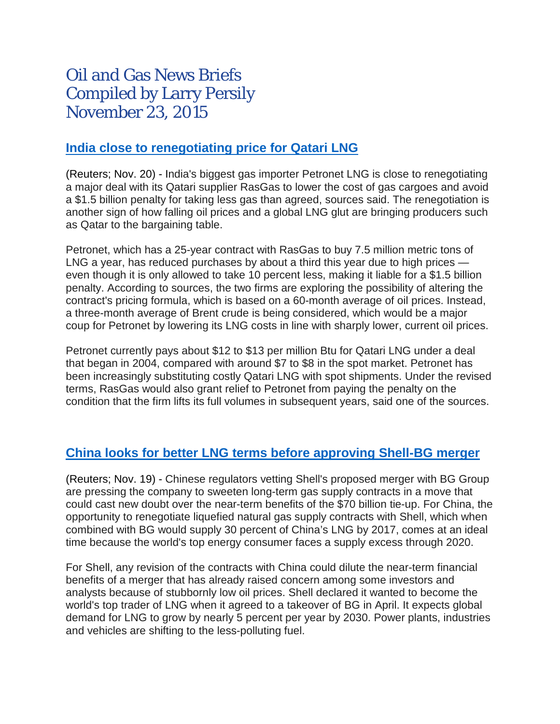# Oil and Gas News Briefs Compiled by Larry Persily November 23, 2015

#### **[India close to renegotiating price for Qatari LNG](http://uk.reuters.com/article/2015/11/20/petronet-rasgas-lng-idUKL8N13F2WI20151120)**

(Reuters; Nov. 20) - India's biggest gas importer Petronet LNG is close to renegotiating a major deal with its Qatari supplier RasGas to lower the cost of gas cargoes and avoid a \$1.5 billion penalty for taking less gas than agreed, sources said. The renegotiation is another sign of how falling oil prices and a global LNG glut are bringing producers such as Qatar to the bargaining table.

Petronet, which has a 25-year contract with RasGas to buy 7.5 million metric tons of LNG a year, has reduced purchases by about a third this year due to high prices even though it is only allowed to take 10 percent less, making it liable for a \$1.5 billion penalty. According to sources, the two firms are exploring the possibility of altering the contract's pricing formula, which is based on a 60-month average of oil prices. Instead, a three-month average of Brent crude is being considered, which would be a major coup for Petronet by lowering its LNG costs in line with sharply lower, current oil prices.

Petronet currently pays about \$12 to \$13 per million Btu for Qatari LNG under a deal that began in 2004, compared with around \$7 to \$8 in the spot market. Petronet has been increasingly substituting costly Qatari LNG with spot shipments. Under the revised terms, RasGas would also grant relief to Petronet from paying the penalty on the condition that the firm lifts its full volumes in subsequent years, said one of the sources.

## **[China looks for better LNG terms before approving Shell-BG merger](http://www.reuters.com/article/2015/11/19/us-bg-m-a-shell-china-idUSKCN0T81CJ20151119)**

(Reuters; Nov. 19) - Chinese regulators vetting Shell's proposed merger with BG Group are pressing the company to sweeten long-term gas supply contracts in a move that could cast new doubt over the near-term benefits of the \$70 billion tie-up. For China, the opportunity to renegotiate liquefied natural gas supply contracts with Shell, which when combined with BG would supply 30 percent of China's LNG by 2017, comes at an ideal time because the world's top energy consumer faces a supply excess through 2020.

For Shell, any revision of the contracts with China could dilute the near-term financial benefits of a merger that has already raised concern among some investors and analysts because of stubbornly low oil prices. Shell declared it wanted to become the world's top trader of LNG when it agreed to a takeover of BG in April. It expects global demand for LNG to grow by nearly 5 percent per year by 2030. Power plants, industries and vehicles are shifting to the less-polluting fuel.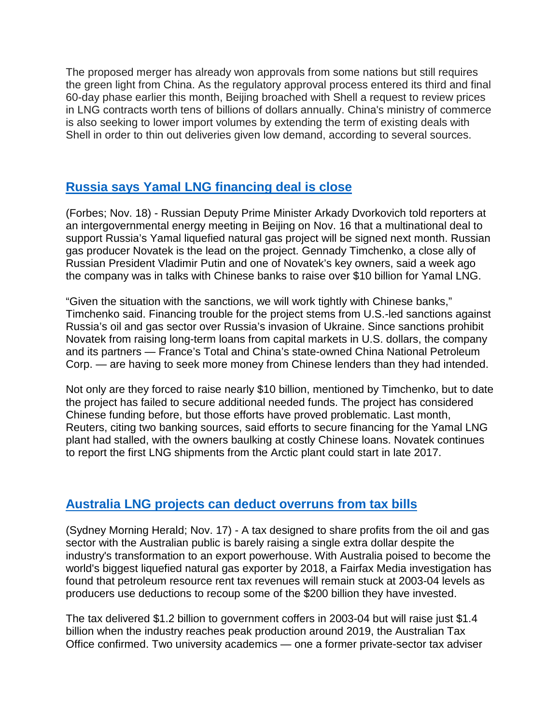The proposed merger has already won approvals from some nations but still requires the green light from China. As the regulatory approval process entered its third and final 60-day phase earlier this month, Beijing broached with Shell a request to review prices in LNG contracts worth tens of billions of dollars annually. China's ministry of commerce is also seeking to lower import volumes by extending the term of existing deals with Shell in order to thin out deliveries given low demand, according to several sources.

# **Russia says Yamal LNG [financing](http://www.forbes.com/sites/timdaiss/2015/11/18/us-led-sanctions-squeeze-massive-russian-gas-project-but-chinese-funds-may-hold-the-answer/) deal is close**

(Forbes; Nov. 18) - Russian Deputy Prime Minister Arkady Dvorkovich told reporters at an intergovernmental energy meeting in Beijing on Nov. 16 that a multinational deal to support Russia's Yamal liquefied natural gas project will be signed next month. Russian gas producer Novatek is the lead on the project. Gennady Timchenko, a close ally of Russian President Vladimir Putin and one of Novatek's key owners, said a week ago the company was in talks with Chinese banks to raise over \$10 billion for Yamal LNG.

"Given the situation with the sanctions, we will work tightly with Chinese banks," Timchenko said. Financing trouble for the project stems from U.S.-led sanctions against Russia's oil and gas sector over Russia's invasion of Ukraine. Since sanctions prohibit Novatek from raising long-term loans from capital markets in U.S. dollars, the company and its partners — France's Total and China's state-owned China National Petroleum Corp. — are having to seek more money from Chinese lenders than they had intended.

Not only are they forced to raise nearly \$10 billion, mentioned by Timchenko, but to date the project has failed to secure additional needed funds. The project has considered Chinese funding before, but those efforts have proved problematic. Last month, Reuters, citing two banking sources, said efforts to secure financing for the Yamal LNG plant had stalled, with the owners baulking at costly Chinese loans. Novatek continues to report the first LNG shipments from the Arctic plant could start in late 2017.

## **[Australia](http://www.smh.com.au/federal-politics/political-news/gas-sector-grew-12fold-in-a-decade-to-60b-but-tax-take-flatlines-20151113-gkyil4.html) LNG projects can deduct overruns from tax bills**

(Sydney Morning Herald; Nov. 17) - A tax designed to share profits from the oil and gas sector with the Australian public is barely raising a single extra dollar despite the industry's transformation to an export powerhouse. With Australia poised to become the world's biggest liquefied natural gas exporter by 2018, a Fairfax Media investigation has found that petroleum resource rent tax revenues will remain stuck at 2003-04 levels as producers use deductions to recoup some of the \$200 billion they have invested.

The tax delivered \$1.2 billion to government coffers in 2003-04 but will raise just \$1.4 billion when the industry reaches peak production around 2019, the Australian Tax Office confirmed. Two university academics — one a former private-sector tax adviser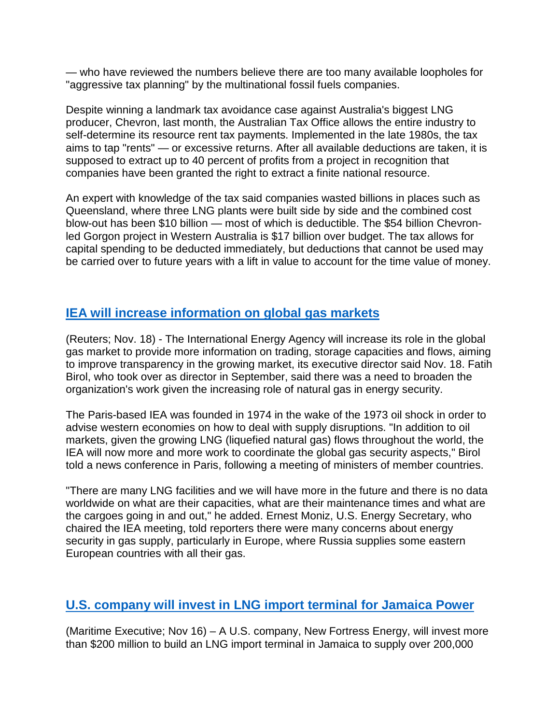— who have reviewed the numbers believe there are too many available loopholes for "aggressive tax planning" by the multinational fossil fuels companies.

Despite winning a landmark tax avoidance case against Australia's biggest LNG producer, Chevron, last month, the Australian Tax Office allows the entire industry to self-determine its resource rent tax payments. Implemented in the late 1980s, the tax aims to tap "rents" — or excessive returns. After all available deductions are taken, it is supposed to extract up to 40 percent of profits from a project in recognition that companies have been granted the right to extract a finite national resource.

An expert with knowledge of the tax said companies wasted billions in places such as Queensland, where three LNG plants were built side by side and the combined cost blow-out has been \$10 billion — most of which is deductible. The \$54 billion Chevronled Gorgon project in Western Australia is \$17 billion over budget. The tax allows for capital spending to be deducted immediately, but deductions that cannot be used may be carried over to future years with a lift in value to account for the time value of money.

## **[IEA will increase information on global gas markets](http://af.reuters.com/article/energyOilNews/idAFL8N13D2ET20151118)**

(Reuters; Nov. 18) - The International Energy Agency will increase its role in the global gas market to provide more information on trading, storage capacities and flows, aiming to improve transparency in the growing market, its executive director said Nov. 18. Fatih Birol, who took over as director in September, said there was a need to broaden the organization's work given the increasing role of natural gas in energy security.

The Paris-based IEA was founded in 1974 in the wake of the 1973 oil shock in order to advise western economies on how to deal with supply disruptions. "In addition to oil markets, given the growing LNG (liquefied natural gas) flows throughout the world, the IEA will now more and more work to coordinate the global gas security aspects," Birol told a news conference in Paris, following a meeting of ministers of member countries.

"There are many LNG facilities and we will have more in the future and there is no data worldwide on what are their capacities, what are their maintenance times and what are the cargoes going in and out," he added. Ernest Moniz, U.S. Energy Secretary, who chaired the IEA meeting, told reporters there were many concerns about energy security in gas supply, particularly in Europe, where Russia supplies some eastern European countries with all their gas.

## **U.S. [company](http://www.maritime-executive.com/article/jamaica-to-build-lng-terminal) will invest in LNG import terminal for Jamaica Power**

(Maritime Executive; Nov 16) – A U.S. company, New Fortress Energy, will invest more than \$200 million to build an LNG import terminal in Jamaica to supply over 200,000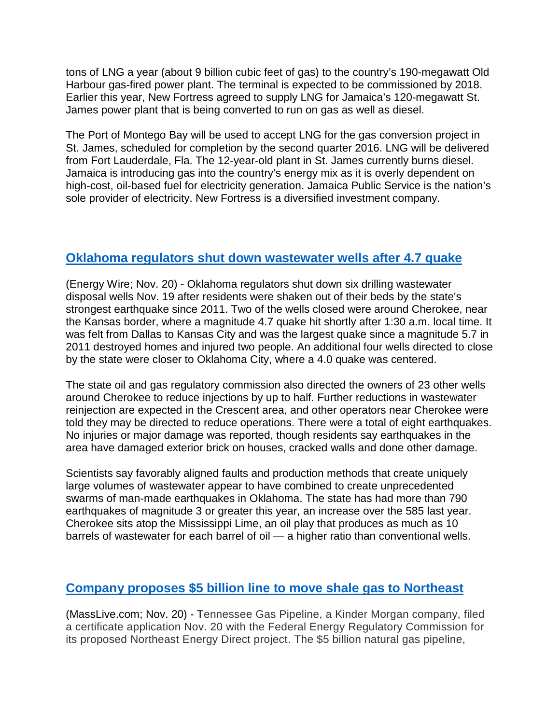tons of LNG a year (about 9 billion cubic feet of gas) to the country's 190-megawatt Old Harbour gas-fired power plant. The terminal is expected to be commissioned by 2018. Earlier this year, New Fortress agreed to supply LNG for Jamaica's 120-megawatt St. James power plant that is being converted to run on gas as well as diesel.

The Port of Montego Bay will be used to accept LNG for the gas conversion project in St. James, scheduled for completion by the second quarter 2016. LNG will be delivered from Fort Lauderdale, Fla. The 12-year-old plant in St. James currently burns diesel. Jamaica is introducing gas into the country's energy mix as it is overly dependent on high-cost, oil-based fuel for electricity generation. Jamaica Public Service is the nation's sole provider of electricity. New Fortress is a diversified investment company.

#### **[Oklahoma regulators shut down wastewater wells after 4.7 quake](http://www.eenews.net/ew)**

(Energy Wire; Nov. 20) - Oklahoma regulators shut down six drilling wastewater disposal wells Nov. 19 after residents were shaken out of their beds by the state's strongest earthquake since 2011. Two of the wells closed were around Cherokee, near the Kansas border, where a magnitude 4.7 quake hit shortly after 1:30 a.m. local time. It was felt from Dallas to Kansas City and was the largest quake since a magnitude 5.7 in 2011 destroyed homes and injured two people. An additional four wells directed to close by the state were closer to Oklahoma City, where a 4.0 quake was centered.

The state oil and gas regulatory commission also directed the owners of 23 other wells around Cherokee to reduce injections by up to half. Further reductions in wastewater reinjection are expected in the Crescent area, and other operators near Cherokee were told they may be directed to reduce operations. There were a total of eight earthquakes. No injuries or major damage was reported, though residents say earthquakes in the area have damaged exterior brick on houses, cracked walls and done other damage.

Scientists say favorably aligned faults and production methods that create uniquely large volumes of wastewater appear to have combined to create unprecedented swarms of man-made earthquakes in Oklahoma. The state has had more than 790 earthquakes of magnitude 3 or greater this year, an increase over the 585 last year. Cherokee sits atop the Mississippi Lime, an oil play that produces as much as 10 barrels of wastewater for each barrel of oil — a higher ratio than conventional wells.

## **[Company proposes \\$5 billion line to move shale gas to Northeast](http://www.masslive.com/news/index.ssf/2015/11/kinder_morgan_files_federal_ap.html)**

(MassLive.com; Nov. 20) - Tennessee Gas Pipeline, a Kinder Morgan company, filed a certificate application Nov. 20 with the Federal Energy Regulatory Commission for its proposed Northeast Energy Direct project. The \$5 billion natural gas pipeline,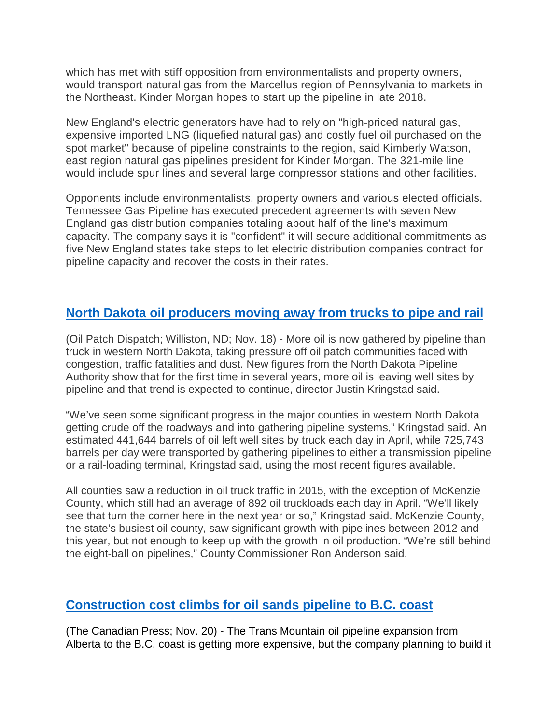which has met with stiff opposition from environmentalists and property owners, would transport natural gas from the Marcellus region of Pennsylvania to markets in the Northeast. Kinder Morgan hopes to start up the pipeline in late 2018.

New England's electric generators have had to rely on "high-priced natural gas, expensive imported LNG (liquefied natural gas) and costly fuel oil purchased on the spot market" because of pipeline constraints to the region, said Kimberly Watson, east region natural gas pipelines president for Kinder Morgan. The 321-mile line would include spur lines and several large compressor stations and other facilities.

Opponents include environmentalists, property owners and various elected officials. Tennessee Gas Pipeline has executed precedent agreements with seven New England gas distribution companies totaling about half of the line's maximum capacity. The company says it is "confident" it will secure additional commitments as five New England states take steps to let electric distribution companies contract for pipeline capacity and recover the costs in their rates.

#### **[North Dakota oil producers moving away](http://oilpatchdispatch.areavoices.com/2015/11/18/pipelines-now-outpacing-trucks-for-gathering-bakken-oil/) from trucks to pipe and rail**

(Oil Patch Dispatch; Williston, ND; Nov. 18) - More oil is now gathered by pipeline than truck in western North Dakota, taking pressure off oil patch communities faced with congestion, traffic fatalities and dust. New figures from the North Dakota Pipeline Authority show that for the first time in several years, more oil is leaving well sites by pipeline and that trend is expected to continue, director Justin Kringstad said.

"We've seen some significant progress in the major counties in western North Dakota getting crude off the roadways and into gathering pipeline systems," Kringstad said. An estimated 441,644 barrels of oil left well sites by truck each day in April, while 725,743 barrels per day were transported by gathering pipelines to either a transmission pipeline or a rail-loading terminal, Kringstad said, using the most recent figures available.

All counties saw a reduction in oil truck traffic in 2015, with the exception of McKenzie County, which still had an average of 892 oil truckloads each day in April. "We'll likely see that turn the corner here in the next year or so," Kringstad said. McKenzie County, the state's busiest oil county, saw significant growth with pipelines between 2012 and this year, but not enough to keep up with the growth in oil production. "We're still behind the eight-ball on pipelines," County Commissioner Ron Anderson said.

## **[Construction cost climbs for oil sands pipeline to B.C. coast](http://calgaryherald.com/business/energy/trans-mountain-price-tag-rising-on-currency-swings-project-changes-delays)**

(The Canadian Press; Nov. 20) - The Trans Mountain oil pipeline expansion from Alberta to the B.C. coast is getting more expensive, but the company planning to build it